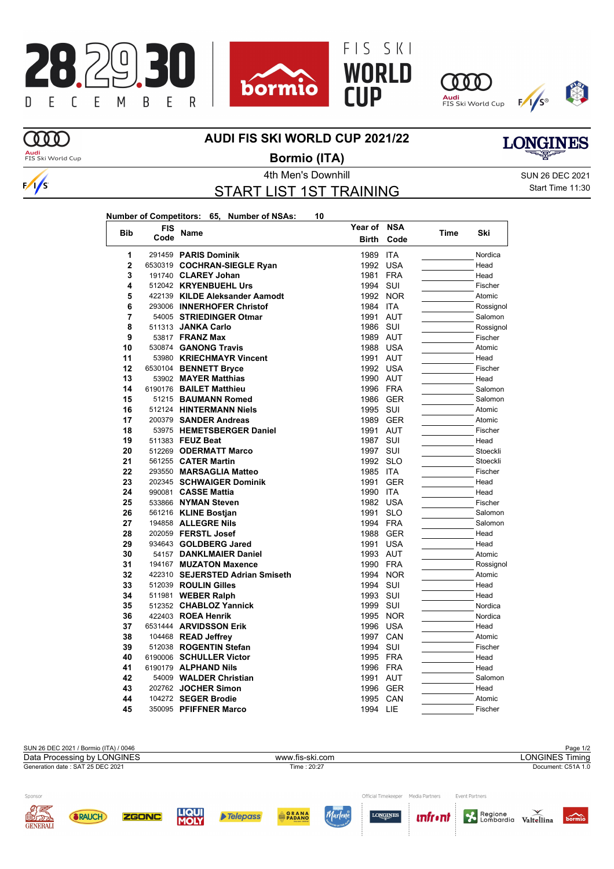





**Year of NSA**





## **AUDI FIS SKI WORLD CUP 2021/22**

 $\Omega$ **Audi**<br>FIS Ski World Cup



**Bormio (ITA)**

START LIST 1ST TRAINING

4th Men's Downhill and Sun 26 DEC 2021 Start Time 11:30

**LONGINES** 

| Number of Competitors: 65, Number of NSAs: |  | 10 |
|--------------------------------------------|--|----|
|                                            |  |    |

| <b>Bib</b>     | FIS  | Name                            | Year of      | NSA        | Time | Ski       |
|----------------|------|---------------------------------|--------------|------------|------|-----------|
|                | Code |                                 | <b>Birth</b> | Code       |      |           |
| 1              |      | 291459 PARIS Dominik            | 1989         | <b>ITA</b> |      | Nordica   |
| $\overline{2}$ |      | 6530319 COCHRAN-SIEGLE Ryan     | 1992         | <b>USA</b> |      | Head      |
| 3              |      | 191740 CLAREY Johan             | 1981         | <b>FRA</b> |      | Head      |
| 4              |      | 512042 KRYENBUEHL Urs           | 1994         | SUI        |      | Fischer   |
| 5              |      | 422139 KILDE Aleksander Aamodt  | 1992         | <b>NOR</b> |      | Atomic    |
| 6              |      | 293006 INNERHOFER Christof      | 1984         | <b>ITA</b> |      | Rossignol |
| 7              |      | 54005 STRIEDINGER Otmar         | 1991         | <b>AUT</b> |      | Salomon   |
| 8              |      | 511313 JANKA Carlo              | 1986         | SUI        |      | Rossignol |
| 9              |      | 53817 FRANZ Max                 | 1989         | AUT        |      | Fischer   |
| 10             |      | 530874 GANONG Travis            | 1988         | <b>USA</b> |      | Atomic    |
| 11             |      | 53980 KRIECHMAYR Vincent        | 1991         | AUT        |      | Head      |
| 12             |      | 6530104 BENNETT Bryce           | 1992         | <b>USA</b> |      | Fischer   |
| 13             |      | 53902 MAYER Matthias            | 1990         | AUT        |      | Head      |
| 14             |      | 6190176 BAILET Matthieu         | 1996         | FRA        |      | Salomon   |
| 15             |      | 51215 BAUMANN Romed             | 1986         | <b>GER</b> |      | Salomon   |
| 16             |      | 512124 HINTERMANN Niels         | 1995         | SUI        |      | Atomic    |
| 17             |      | 200379 SANDER Andreas           | 1989         | <b>GER</b> |      | Atomic    |
| 18             |      | 53975 HEMETSBERGER Daniel       | 1991         | <b>AUT</b> |      | Fischer   |
| 19             |      | 511383 FEUZ Beat                | 1987         | SUI        |      | Head      |
| 20             |      | 512269 ODERMATT Marco           | 1997         | SUI        |      | Stoeckli  |
| 21             |      | 561255 CATER Martin             | 1992         | <b>SLO</b> |      | Stoeckli  |
| 22             |      | 293550 MARSAGLIA Matteo         | 1985         | <b>ITA</b> |      | Fischer   |
| 23             |      | 202345 SCHWAIGER Dominik        | 1991         | <b>GER</b> |      | Head      |
| 24             |      | 990081 CASSE Mattia             | 1990         | <b>ITA</b> |      | Head      |
| 25             |      | 533866 NYMAN Steven             | 1982         | USA        |      | Fischer   |
| 26             |      | 561216 KLINE Bostjan            | 1991         | <b>SLO</b> |      | Salomon   |
| 27             |      | 194858 ALLEGRE Nils             | 1994         | FRA        |      | Salomon   |
| 28             |      | 202059 FERSTL Josef             | 1988         | <b>GER</b> |      | Head      |
| 29             |      | 934643 GOLDBERG Jared           | 1991         | <b>USA</b> |      | Head      |
| 30             |      | 54157 DANKLMAIER Daniel         | 1993         | AUT        |      | Atomic    |
| 31             |      | 194167 MUZATON Maxence          | 1990         | <b>FRA</b> |      | Rossignol |
| 32             |      | 422310 SEJERSTED Adrian Smiseth | 1994         | <b>NOR</b> |      | Atomic    |
| 33             |      | 512039 ROULIN Gilles            | 1994         | SUI        |      | Head      |
| 34             |      | 511981 WEBER Ralph              | 1993         | SUI        |      | Head      |
| 35             |      | 512352 CHABLOZ Yannick          | 1999         | SUI        |      | Nordica   |
| 36             |      | 422403 ROEA Henrik              | 1995         | <b>NOR</b> |      | Nordica   |
| 37             |      | 6531444 ARVIDSSON Erik          | 1996         | <b>USA</b> |      | Head      |
| 38             |      | 104468 READ Jeffrey             | 1997         | CAN        |      | Atomic    |
| 39             |      | 512038 ROGENTIN Stefan          | 1994         | SUI        |      | Fischer   |
| 40             |      | 6190006 SCHULLER Victor         | 1995         | FRA        |      | Head      |
| 41             |      | 6190179 ALPHAND Nils            | 1996         | <b>FRA</b> |      | Head      |
| 42             |      | 54009 WALDER Christian          | 1991         | AUT        |      | Salomon   |
| 43             |      | 202762 JOCHER Simon             | 1996         | <b>GER</b> |      | Head      |
| 44             |      | 104272 SEGER Brodie             | 1995         | CAN        |      | Atomic    |
| 45             |      | 350095 PFIFFNER Marco           | 1994         | LIE        |      | Fischer   |